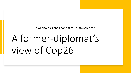Did Geopolitics and Economics Trump Science?

# A former-diplomat's view of Cop26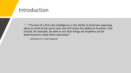### Introduction

"…"The test of a first-rate intelligence is the ability to hold two opposing ideas in mind at the same time and still retain the ability to function. One should, for example, be able to see that things are hopeless yet be determined to make them otherwise."

-- attributed to F. Scott Fitzgerald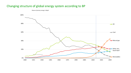#### Changing structure of global energy system according to BP



Shares of primary energy in *Rapid*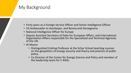### My Background

- Forty years as a Foreign Service Officer and Senior Intelligence Officer
- US Ambassador to Azerbaijan, and Bosnia and Herzegovina
- National Intelligence Officer for Europe
- Deputy Assistant Secretary of State for European Affairs; and International Organization Affairs responsible for the Specialized and Technical Agencies of the UN.
- At Mason
	- Distinguished Visiting Professor at the Schar School teaching courses on the geopolitics of energy security and theory and practice of public policy.
	- Co-Director of the Center for Energy Science and Policy and member of the leadership team for C-RASC.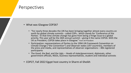#### Perspectives

- What was Glasgow COP26?
	- "For nearly three decades the UN has been bringing together almost every country on earth for global climate summits - called COPs - which stands for 'Conference of the Parties'. 'In that time climate change has gone from being a fringe issue to a global priority. This year will be the 26th annual summit – giving it the name COP26. With the UK as President, COP26 takes place in Glasgow." from UK President
	- Participation: representations of Parties to the 1994 UN Framework Convention on Climate Change ("the Convention") and Observer states (197 countries), members of the press and media, and representatives of observer organizations – 40k registered participants
	- The Good, the Bad, and the Ugly -- Heads of state/government, diplomats, other government officials, NGOs, business representatives, student and individual activists
- COP27, Fall 2022 Egypt host country in Sharm el-Sheikh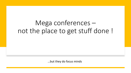# Mega conferences – not the place to get stuff done !

…but they do focus minds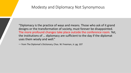#### Modesty and Diplomacy Not Synonymous

"Diplomacy is the practice of ways and means. Those who ask of it grand designs or the transformation of society, must forever be disappointed. The more profound changes take place outside the conference room. Yet, the institutions of … diplomacy are sufficient to the day if the diplomat uses them wisely and well."

-- from The Diplomat's Dictionary, Chas. W. Freeman, Jr. pg. 107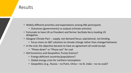### Results

- Widely different priorities and expectations among 40k participants
	- Outcomes (governments) vs outputs (climate activists)
- Fortunate to have UK as President and former SecState Kerry leading US delegation.
- Glasgow Climate Pact -- supply, not demand focus; aspirational, not binding.
	- Focus more on S&T solutions to climate change rather than changed behavior.
- In the end, the objective became to have an agreement all could accept.
	- "Phase-down" vs "Phase-out" for coal
- Did Economics and Geopolitics Trump Science?
	- Energy-deficient countries/populations?
	- Global energy crisis for northern hemisphere
	- Geopolitics (e.g., Russia no Putin, China no Xi, India no no-coal)?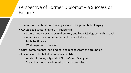# Perspective of Former Diplomat – a Success or Failure?

- This was never about questioning science see preambular language
- COP26 goals (according to UK Presidency)
	- Secure global net zero by mid-century and keep 1.5 degrees within reach
	- Adapt to protect communities and natural habitats
	- Mobilize finance
	- Work together to deliver
- Quasi-commitments (not binding) and pledges from the ground up
- For smaller, middle to low-income countries
	- All about money typical of North/South Dialogue
	- Sense that no net-carbon future for rich countries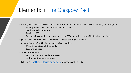# Elements in the Glasgow Pa

- Cutting emissions -- emissions need to fall around 45 percent by 2.
	- India [agreed to reach net-zero emissio](https://www.chathamhouse.org/2021/11/cop26-what-happened-what-does-mean-and-what-happens-next)ns by 2070,
	- Saudi Arabia by 2060, and
	- Brazil by 2050
	- 74 countries commit to net-zero targets by 2050 or earlier; co
- (NEW) Coal and fossil fuels "unabated"; "phase-out vs phase-dov
- Climate finance (\$100 billion annually, missed pledge)
	- Mitigation and Adaptation funding
	- Loss and damage
- The Paris Rulebook
	- Emissions reporting and transparency
	- Carbon trading/carbon market
- NB: See Chatham House summary analysis of COP 26.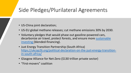# Side Pledges/Plurilateral Ag

- US-China joint declaration;
- US-EU global methane releases; cut methane e
- Voluntary pledges that would phase out gasolir decarbonize air travel, protect forests, and ensure investing (blended-financing).
- Just Energy Transition Partnership (South Africa https://ukcop26.org/political-declaration-on-th in-south-africa/
- Glasgow Alliance for Net-Zero (\$130 trillion private
- "First-movers" coalition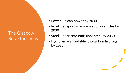## The Glasgow Breakthroughs

- Power clean power by 2030
- Road Transport zero emissions vehicles by 2030
- Steel near-zero emissions steel by 2030
- Hydrogen affordable low-carbon hydrogen by 2030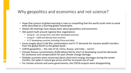### Why geopolitics and economics and not science?

- Hope that science of global warming is now so compelling that the world could unite to avoid what described as a looming global catastrophe.
- Global UN meetings have always been about geopolitics and economics
- Old system built around regional bloc negotiations
	- Group B US, Europe (EU), and other developed countries
	- Group D USSR and Warsaw Pact countries
	- G-77 developing countries (including China and India)
- Issues largely about Cold War confrontation and G-77 demands for massive wealth transfers from the global North to the global South
- COP26 geopolitics -- the role of US, China, Russia, and India -- not EU
- Climate finance commitments (\$100 billion) fell far short of developing countries demands for assistance and compensation for past climate change damage.
- Globally countries were concerned about short-term energy shortages during the winter months, the spike in natural gas prices and the increased use of coal.
- For climate activists and some governments, the COP26 outputs were disappointing.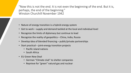"Now this is not the end. It is not even the beginning of the end. But it is, perhaps, the end of the beginning." Winston Churchill November 1942

- Nature of energy transition is a hybrid energy system
- Get to work supply and demand tackled at the local and individual level
- Recognize the limits of diplomacy but continue to lead
- Recognize the reality of geopolitics China, India, Russia
- Develop idea of blended financing public/private partnerships
- Start practical joint-energy transition projects
	- Pacific island nations
	- South Africa
- EU Green New Deal
	- German "Climate club" to shelter companies
	- Reprieve for "green" natural gas and nuclear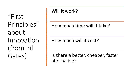"First Principles" about Innovation (from Bill Gates)

# Will it work?

# How much time will it take?

# How much will it cost?

Is there a better, cheaper, faster alternative?